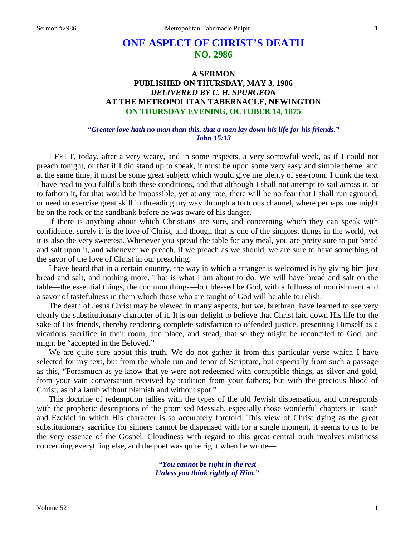# **ONE ASPECT OF CHRIST'S DEATH NO. 2986**

## **A SERMON PUBLISHED ON THURSDAY, MAY 3, 1906** *DELIVERED BY C. H. SPURGEON* **AT THE METROPOLITAN TABERNACLE, NEWINGTON ON THURSDAY EVENING, OCTOBER 14, 1875**

#### *"Greater love hath no man than this, that a man lay down his life for his friends." John 15:13*

I FELT, today, after a very weary, and in some respects, a very sorrowful week, as if I could not preach tonight, or that if I did stand up to speak, it must be upon some very easy and simple theme, and at the same time, it must be some great subject which would give me plenty of sea-room. I think the text I have read to you fulfills both these conditions, and that although I shall not attempt to sail across it, or to fathom it, for that would be impossible, yet at any rate, there will be no fear that I shall run aground, or need to exercise great skill in threading my way through a tortuous channel, where perhaps one might be on the rock or the sandbank before he was aware of his danger.

If there is anything about which Christians are sure, and concerning which they can speak with confidence, surely it is the love of Christ, and though that is one of the simplest things in the world, yet it is also the very sweetest. Whenever you spread the table for any meal, you are pretty sure to put bread and salt upon it, and whenever we preach, if we preach as we should, we are sure to have something of the savor of the love of Christ in our preaching.

I have heard that in a certain country, the way in which a stranger is welcomed is by giving him just bread and salt, and nothing more. That is what I am about to do. We will have bread and salt on the table—the essential things, the common things—but blessed be God, with a fullness of nourishment and a savor of tastefulness in them which those who are taught of God will be able to relish.

The death of Jesus Christ may be viewed in many aspects, but we, brethren, have learned to see very clearly the substitutionary character of it. It is our delight to believe that Christ laid down His life for the sake of His friends, thereby rendering complete satisfaction to offended justice, presenting Himself as a vicarious sacrifice in their room, and place, and stead, that so they might be reconciled to God, and might be "accepted in the Beloved."

We are quite sure about this truth. We do not gather it from this particular verse which I have selected for my text, but from the whole run and tenor of Scripture, but especially from such a passage as this, "Forasmuch as ye know that ye were not redeemed with corruptible things, as silver and gold, from your vain conversation received by tradition from your fathers; but with the precious blood of Christ, as of a lamb without blemish and without spot."

This doctrine of redemption tallies with the types of the old Jewish dispensation, and corresponds with the prophetic descriptions of the promised Messiah, especially those wonderful chapters in Isaiah and Ezekiel in which His character is so accurately foretold. This view of Christ dying as the great substitutionary sacrifice for sinners cannot be dispensed with for a single moment, it seems to us to be the very essence of the Gospel. Cloudiness with regard to this great central truth involves mistiness concerning everything else, and the poet was quite right when he wrote—

> *"You cannot be right in the rest Unless you think rightly of Him."*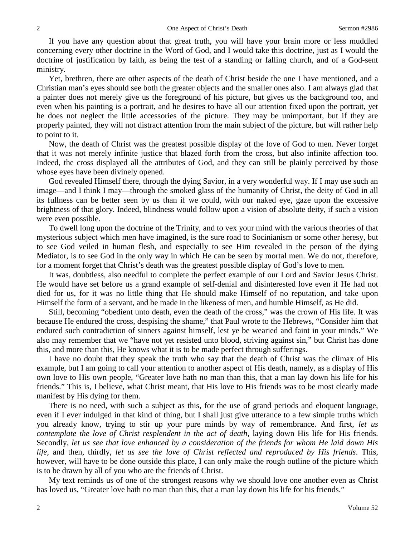If you have any question about that great truth, you will have your brain more or less muddled concerning every other doctrine in the Word of God, and I would take this doctrine, just as I would the doctrine of justification by faith, as being the test of a standing or falling church, and of a God-sent ministry.

Yet, brethren, there are other aspects of the death of Christ beside the one I have mentioned, and a Christian man's eyes should see both the greater objects and the smaller ones also. I am always glad that a painter does not merely give us the foreground of his picture, but gives us the background too, and even when his painting is a portrait, and he desires to have all our attention fixed upon the portrait, yet he does not neglect the little accessories of the picture. They may be unimportant, but if they are properly painted, they will not distract attention from the main subject of the picture, but will rather help to point to it.

Now, the death of Christ was the greatest possible display of the love of God to men. Never forget that it was not merely infinite justice that blazed forth from the cross, but also infinite affection too. Indeed, the cross displayed all the attributes of God, and they can still be plainly perceived by those whose eyes have been divinely opened.

God revealed Himself there, through the dying Savior, in a very wonderful way. If I may use such an image—and I think I may—through the smoked glass of the humanity of Christ, the deity of God in all its fullness can be better seen by us than if we could, with our naked eye, gaze upon the excessive brightness of that glory. Indeed, blindness would follow upon a vision of absolute deity, if such a vision were even possible.

To dwell long upon the doctrine of the Trinity, and to vex your mind with the various theories of that mysterious subject which men have imagined, is the sure road to Socinianism or some other heresy, but to see God veiled in human flesh, and especially to see Him revealed in the person of the dying Mediator, is to see God in the only way in which He can be seen by mortal men. We do not, therefore, for a moment forget that Christ's death was the greatest possible display of God's love to men.

It was, doubtless, also needful to complete the perfect example of our Lord and Savior Jesus Christ. He would have set before us a grand example of self-denial and disinterested love even if He had not died for us, for it was no little thing that He should make Himself of no reputation, and take upon Himself the form of a servant, and be made in the likeness of men, and humble Himself, as He did.

Still, becoming "obedient unto death, even the death of the cross," was the crown of His life. It was because He endured the cross, despising the shame," that Paul wrote to the Hebrews, "Consider him that endured such contradiction of sinners against himself, lest ye be wearied and faint in your minds." We also may remember that we "have not yet resisted unto blood, striving against sin," but Christ has done this, and more than this, He knows what it is to be made perfect through sufferings.

I have no doubt that they speak the truth who say that the death of Christ was the climax of His example, but I am going to call your attention to another aspect of His death, namely, as a display of His own love to His own people, "Greater love hath no man than this, that a man lay down his life for his friends." This is, I believe, what Christ meant, that His love to His friends was to be most clearly made manifest by His dying for them.

There is no need, with such a subject as this, for the use of grand periods and eloquent language, even if I ever indulged in that kind of thing, but I shall just give utterance to a few simple truths which you already know, trying to stir up your pure minds by way of remembrance. And first, *let us contemplate the love of Christ resplendent in the act of death, laying down His life for His friends.* Secondly, *let us see that love enhanced by a consideration of the friends for whom He laid down His life,* and then, thirdly, *let us see the love of Christ reflected and reproduced by His friends*. This, however, will have to be done outside this place, I can only make the rough outline of the picture which is to be drawn by all of you who are the friends of Christ.

My text reminds us of one of the strongest reasons why we should love one another even as Christ has loved us, "Greater love hath no man than this, that a man lay down his life for his friends."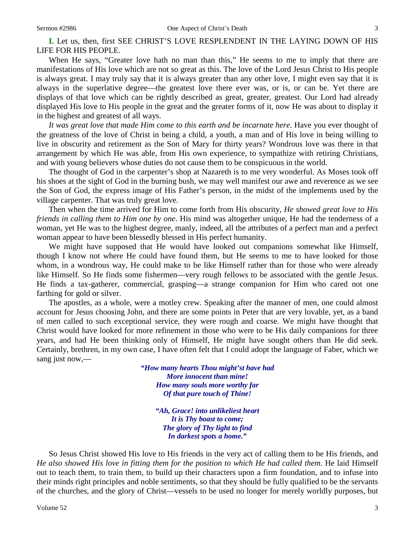**I.** Let us, then, first SEE CHRIST'S LOVE RESPLENDENT IN THE LAYING DOWN OF HIS LIFE FOR HIS PEOPLE.

When He says, "Greater love hath no man than this," He seems to me to imply that there are manifestations of His love which are not so great as this. The love of the Lord Jesus Christ to His people is always great. I may truly say that it is always greater than any other love, I might even say that it is always in the superlative degree—the greatest love there ever was, or is, or can be. Yet there are displays of that love which can be rightly described as great, greater, greatest. Our Lord had already displayed His love to His people in the great and the greater forms of it, now He was about to display it in the highest and greatest of all ways.

*It was great love that made Him come to this earth and be incarnate here*. Have you ever thought of the greatness of the love of Christ in being a child, a youth, a man and of His love in being willing to live in obscurity and retirement as the Son of Mary for thirty years? Wondrous love was there in that arrangement by which He was able, from His own experience, to sympathize with retiring Christians, and with young believers whose duties do not cause them to be conspicuous in the world.

The thought of God in the carpenter's shop at Nazareth is to me very wonderful. As Moses took off his shoes at the sight of God in the burning bush, we may well manifest our awe and reverence as we see the Son of God, the express image of His Father's person, in the midst of the implements used by the village carpenter. That was truly great love.

Then when the time arrived for Him to come forth from His obscurity, *He showed great love to His friends in calling them to Him one by one*. His mind was altogether unique, He had the tenderness of a woman, yet He was to the highest degree, manly, indeed, all the attributes of a perfect man and a perfect woman appear to have been blessedly blessed in His perfect humanity.

We might have supposed that He would have looked out companions somewhat like Himself, though I know not where He could have found them, but He seems to me to have looked for those whom, in a wondrous way, He could make to be like Himself rather than for those who were already like Himself. So He finds some fishermen—very rough fellows to be associated with the gentle Jesus. He finds a tax-gatherer, commercial, grasping—a strange companion for Him who cared not one farthing for gold or silver.

The apostles, as a whole, were a motley crew. Speaking after the manner of men, one could almost account for Jesus choosing John, and there are some points in Peter that are very lovable, yet, as a band of men called to such exceptional service, they were rough and coarse. We might have thought that Christ would have looked for more refinement in those who were to be His daily companions for three years, and had He been thinking only of Himself, He might have sought others than He did seek. Certainly, brethren, in my own case, I have often felt that I could adopt the language of Faber, which we sang just now,—

> *"How many hearts Thou might'st have had More innocent than mine! How many souls more worthy far Of that pure touch of Thine!*

> > *"Ah, Grace! into unlikeliest heart It is Thy boast to come; The glory of Thy light to find In darkest spots a home."*

So Jesus Christ showed His love to His friends in the very act of calling them to be His friends, and *He also showed His love in fitting them for the position to which He had called them*. He laid Himself out to teach them, to train them, to build up their characters upon a firm foundation, and to infuse into their minds right principles and noble sentiments, so that they should be fully qualified to be the servants of the churches, and the glory of Christ—vessels to be used no longer for merely worldly purposes, but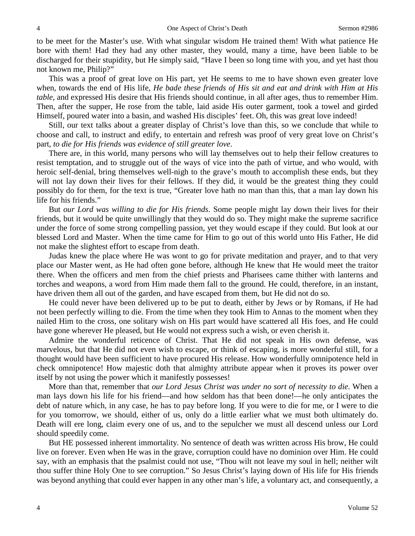to be meet for the Master's use. With what singular wisdom He trained them! With what patience He bore with them! Had they had any other master, they would, many a time, have been liable to be discharged for their stupidity, but He simply said, "Have I been so long time with you, and yet hast thou not known me, Philip?"

This was a proof of great love on His part, yet He seems to me to have shown even greater love when, towards the end of His life, *He bade these friends of His sit and eat and drink with Him at His table,* and expressed His desire that His friends should continue, in all after ages, thus to remember Him. Then, after the supper, He rose from the table, laid aside His outer garment, took a towel and girded Himself, poured water into a basin, and washed His disciples' feet. Oh, this was great love indeed!

Still, our text talks about a greater display of Christ's love than this, so we conclude that while to choose and call, to instruct and edify, to entertain and refresh was proof of very great love on Christ's part, *to die for His friends was evidence of still greater love*.

There are, in this world, many persons who will lay themselves out to help their fellow creatures to resist temptation, and to struggle out of the ways of vice into the path of virtue, and who would, with heroic self-denial, bring themselves well-nigh to the grave's mouth to accomplish these ends, but they will not lay down their lives for their fellows. If they did, it would be the greatest thing they could possibly do for them, for the text is true, "Greater love hath no man than this, that a man lay down his life for his friends."

But *our Lord was willing to die for His friends*. Some people might lay down their lives for their friends, but it would be quite unwillingly that they would do so. They might make the supreme sacrifice under the force of some strong compelling passion, yet they would escape if they could. But look at our blessed Lord and Master. When the time came for Him to go out of this world unto His Father, He did not make the slightest effort to escape from death.

Judas knew the place where He was wont to go for private meditation and prayer, and to that very place our Master went, as He had often gone before, although He knew that He would meet the traitor there. When the officers and men from the chief priests and Pharisees came thither with lanterns and torches and weapons, a word from Him made them fall to the ground. He could, therefore, in an instant, have driven them all out of the garden, and have escaped from them, but He did not do so.

He could never have been delivered up to be put to death, either by Jews or by Romans, if He had not been perfectly willing to die. From the time when they took Him to Annas to the moment when they nailed Him to the cross, one solitary wish on His part would have scattered all His foes, and He could have gone wherever He pleased, but He would not express such a wish, or even cherish it.

Admire the wonderful reticence of Christ. That He did not speak in His own defense, was marvelous, but that He did not even wish to escape, or think of escaping, is more wonderful still, for a thought would have been sufficient to have procured His release. How wonderfully omnipotence held in check omnipotence! How majestic doth that almighty attribute appear when it proves its power over itself by not using the power which it manifestly possesses!

More than that, remember that *our Lord Jesus Christ was under no sort of necessity to die*. When a man lays down his life for his friend—and how seldom has that been done!—he only anticipates the debt of nature which, in any case, he has to pay before long. If you were to die for me, or I were to die for you tomorrow, we should, either of us, only do a little earlier what we must both ultimately do. Death will ere long, claim every one of us, and to the sepulcher we must all descend unless our Lord should speedily come.

But HE possessed inherent immortality. No sentence of death was written across His brow, He could live on forever. Even when He was in the grave, corruption could have no dominion over Him. He could say, with an emphasis that the psalmist could not use, "Thou wilt not leave my soul in hell; neither wilt thou suffer thine Holy One to see corruption." So Jesus Christ's laying down of His life for His friends was beyond anything that could ever happen in any other man's life, a voluntary act, and consequently, a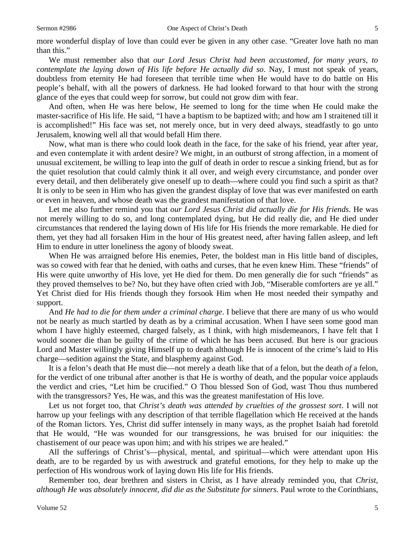more wonderful display of love than could ever be given in any other case. "Greater love hath no man than this."

We must remember also that *our Lord Jesus Christ had been accustomed, for many years, to contemplate the laying down of His life before He actually did so*. Nay, I must not speak of years, doubtless from eternity He had foreseen that terrible time when He would have to do battle on His people's behalf, with all the powers of darkness. He had looked forward to that hour with the strong glance of the eyes that could weep for sorrow, but could not grow dim with fear.

And often, when He was here below, He seemed to long for the time when He could make the master-sacrifice of His life. He said, "I have a baptism to be baptized with; and how am I straitened till it is accomplished!" His face was set, not merely once, but in very deed always, steadfastly to go unto Jerusalem, knowing well all that would befall Him there.

Now, what man is there who could look death in the face, for the sake of his friend, year after year, and even contemplate it with ardent desire? We might, in an outburst of strong affection, in a moment of unusual excitement, be willing to leap into the gulf of death in order to rescue a sinking friend, but as for the quiet resolution that could calmly think it all over, and weigh every circumstance, and ponder over every detail, and then deliberately give oneself up to death—where could you find such a spirit as that? It is only to be seen in Him who has given the grandest display of love that was ever manifested on earth or even in heaven, and whose death was the grandest manifestation of that love.

Let me also further remind you that *our Lord Jesus Christ did actually die for His friends*. He was not merely willing to do so, and long contemplated dying, but He did really die, and He died under circumstances that rendered the laying down of His life for His friends the more remarkable. He died for them, yet they had all forsaken Him in the hour of His greatest need, after having fallen asleep, and left Him to endure in utter loneliness the agony of bloody sweat.

When He was arraigned before His enemies, Peter, the boldest man in His little band of disciples, was so cowed with fear that he denied, with oaths and curses, that he even knew Him. These "friends" of His were quite unworthy of His love, yet He died for them. Do men generally die for such "friends" as they proved themselves to be? No, but they have often cried with Job, "Miserable comforters are ye all." Yet Christ died for His friends though they forsook Him when He most needed their sympathy and support.

And *He had to die for them under a criminal charge*. I believe that there are many of us who would not be nearly as much startled by death as by a criminal accusation. When I have seen some good man whom I have highly esteemed, charged falsely, as I think, with high misdemeanors, I have felt that I would sooner die than be guilty of the crime of which he has been accused. But here is our gracious Lord and Master willingly giving Himself up to death although He is innocent of the crime's laid to His charge—sedition against the State, and blasphemy against God.

It is a felon's death that He must die—not merely a death like that of a felon, but the death *of* a felon, for the verdict of one tribunal after another is that He is worthy of death, and the popular voice applauds the verdict and cries, "Let him be crucified." O Thou blessed Son of God, wast Thou thus numbered with the transgressors? Yes, He was, and this was the greatest manifestation of His love.

Let us not forget too, that *Christ's death was attended by cruelties of the grossest sort*. I will not harrow up your feelings with any description of that terrible flagellation which He received at the hands of the Roman lictors. Yes, Christ did suffer intensely in many ways, as the prophet Isaiah had foretold that He would, "He was wounded for our transgressions, he was bruised for our iniquities: the chastisement of our peace was upon him; and with his stripes we are healed."

All the sufferings of Christ's—physical, mental, and spiritual—which were attendant upon His death, are to be regarded by us with awestruck and grateful emotions, for they help to make up the perfection of His wondrous work of laying down His life for His friends.

Remember too, dear brethren and sisters in Christ, as I have already reminded you, that *Christ, although He was absolutely innocent, did die as the Substitute for sinners*. Paul wrote to the Corinthians,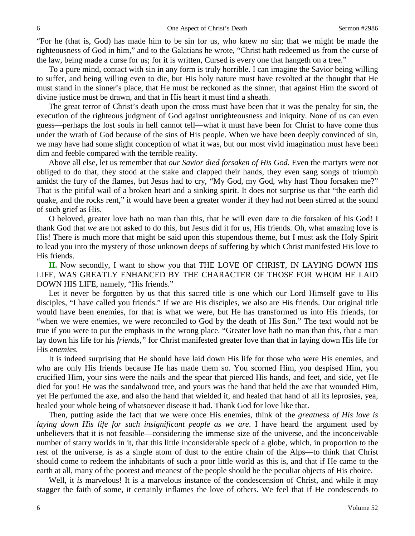"For he (that is, God) has made him to be sin for us, who knew no sin; that we might be made the righteousness of God in him," and to the Galatians he wrote, "Christ hath redeemed us from the curse of the law, being made a curse for us; for it is written, Cursed is every one that hangeth on a tree."

To a pure mind, contact with sin in any form is truly horrible. I can imagine the Savior being willing to suffer, and being willing even to die, but His holy nature must have revolted at the thought that He must stand in the sinner's place, that He must be reckoned as the sinner, that against Him the sword of divine justice must be drawn, and that in His heart it must find a sheath.

The great terror of Christ's death upon the cross must have been that it was the penalty for sin, the execution of the righteous judgment of God against unrighteousness and iniquity. None of us can even guess—perhaps the lost souls in hell cannot tell—what it must have been for Christ to have come thus under the wrath of God because of the sins of His people. When we have been deeply convinced of sin, we may have had some slight conception of what it was, but our most vivid imagination must have been dim and feeble compared with the terrible reality.

Above all else, let us remember that *our Savior died forsaken of His God*. Even the martyrs were not obliged to do that, they stood at the stake and clapped their hands, they even sang songs of triumph amidst the fury of the flames, but Jesus had to cry, "My God, my God, why hast Thou forsaken me?" That is the pitiful wail of a broken heart and a sinking spirit. It does not surprise us that "the earth did quake, and the rocks rent," it would have been a greater wonder if they had not been stirred at the sound of such grief as His.

O beloved, greater love hath no man than this, that he will even dare to die forsaken of his God! I thank God that *we* are not asked to do this, but Jesus did it for us, His friends. Oh, what amazing love is His! There is much more that might be said upon this stupendous theme, but I must ask the Holy Spirit to lead you into the mystery of those unknown deeps of suffering by which Christ manifested His love to His friends.

**II.** Now secondly, I want to show you that THE LOVE OF CHRIST, IN LAYING DOWN HIS LIFE, WAS GREATLY ENHANCED BY THE CHARACTER OF THOSE FOR WHOM HE LAID DOWN HIS LIFE, namely, "His friends."

Let it never be forgotten by us that this sacred title is one which our Lord Himself gave to His disciples, "I have called you friends." If we are His disciples, we also are His friends. Our original title would have been enemies, for that is what we were, but He has transformed us into His friends, for "when we were enemies, we were reconciled to God by the death of His Son." The text would not be true if you were to put the emphasis in the wrong place. "Greater love hath no man than this, that a man lay down his life for his *friends,"* for Christ manifested greater love than that in laying down His life for His *enemies.*

It is indeed surprising that He should have laid down His life for those who were His enemies, and who are only His friends because He has made them so. You scorned Him, you despised Him, you crucified Him, your sins were the nails and the spear that pierced His hands, and feet, and side, yet He died for you! He was the sandalwood tree, and yours was the hand that held the axe that wounded Him, yet He perfumed the axe, and also the hand that wielded it, and healed that hand of all its leprosies, yea, healed your whole being of whatsoever disease it had. Thank God for love like that.

Then, putting aside the fact that we were once His enemies, think of the *greatness of His love is laying down His life for such insignificant people as we are*. I have heard the argument used by unbelievers that it is not feasible—considering the immense size of the universe, and the inconceivable number of starry worlds in it, that this little inconsiderable speck of a globe, which, in proportion to the rest of the universe, is as a single atom of dust to the entire chain of the Alps—to think that Christ should come to redeem the inhabitants of such a poor little world as this is, and that if He came to the earth at all, many of the poorest and meanest of the people should be the peculiar objects of His choice.

Well, it *is* marvelous! It is a marvelous instance of the condescension of Christ, and while it may stagger the faith of some, it certainly inflames the love of others. We feel that if He condescends to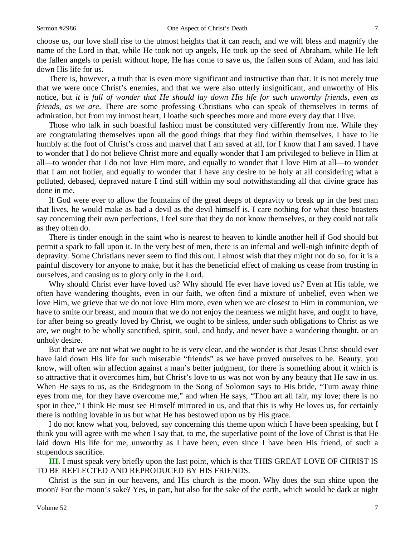choose us, our love shall rise to the utmost heights that it can reach, and we will bless and magnify the name of the Lord in that, while He took not up angels, He took up the seed of Abraham, while He left the fallen angels to perish without hope, He has come to save us, the fallen sons of Adam, and has laid down His life for us.

There is, however, a truth that is even more significant and instructive than that. It is not merely true that we were once Christ's enemies, and that we were also utterly insignificant, and unworthy of His notice, but *it is full of wonder that He should lay down His life for such unworthy friends, even as friends, as we are*. There are some professing Christians who can speak of themselves in terms of admiration, but from my inmost heart, I loathe such speeches more and more every day that I live.

Those who talk in such boastful fashion must be constituted very differently from me. While they are congratulating themselves upon all the good things that they find within themselves, I have to lie humbly at the foot of Christ's cross and marvel that I am saved at all, for I know that I am saved. I have to wonder that I do not believe Christ more and equally wonder that I am privileged to believe in Him at all—to wonder that I do not love Him more, and equally to wonder that I love Him at all—to wonder that I am not holier, and equally to wonder that I have any desire to be holy at all considering what a polluted, debased, depraved nature I find still within my soul notwithstanding all that divine grace has done in me.

If God were ever to allow the fountains of the great deeps of depravity to break up in the best man that lives, he would make as bad a devil as the devil himself is. I care nothing for what these boasters say concerning their own perfections, I feel sure that they do not know themselves, or they could not talk as they often do.

There is tinder enough in the saint who is nearest to heaven to kindle another hell if God should but permit a spark to fall upon it. In the very best of men, there is an infernal and well-nigh infinite depth of depravity. Some Christians never seem to find this out. I almost wish that they might not do so, for it is a painful discovery for anyone to make, but it has the beneficial effect of making us cease from trusting in ourselves, and causing us to glory only in the Lord.

Why should Christ ever have loved us? Why should He ever have loved *us?* Even at His table, we often have wandering thoughts, even in our faith, we often find a mixture of unbelief, even when we love Him, we grieve that we do not love Him more, even when we are closest to Him in communion, we have to smite our breast, and mourn that we do not enjoy the nearness we might have, and ought to have, for after being so greatly loved by Christ, we ought to be sinless, under such obligations to Christ as we are, we ought to be wholly sanctified, spirit, soul, and body, and never have a wandering thought, or an unholy desire.

But that we are not what we ought to be is very clear, and the wonder is that Jesus Christ should ever have laid down His life for such miserable "friends" as we have proved ourselves to be. Beauty, you know, will often win affection against a man's better judgment, for there is something about it which is so attractive that it overcomes him, but Christ's love to us was not won by any beauty that He saw in us. When He says to us, as the Bridegroom in the Song of Solomon says to His bride, "Turn away thine eyes from me, for they have overcome me," and when He says, "Thou art all fair, my love; there is no spot in thee," I think He must see Himself mirrored in us, and that this is why He loves us, for certainly there is nothing lovable in us but what He has bestowed upon us by His grace.

I do not know what you, beloved, say concerning this theme upon which I have been speaking, but I think you will agree with me when I say that, to me, the superlative point of the love of Christ is that He laid down His life for me, unworthy as I have been, even since I have been His friend, of such a stupendous sacrifice.

**III.** I must speak very briefly upon the last point, which is that THIS GREAT LOVE OF CHRIST IS TO BE REFLECTED AND REPRODUCED BY HIS FRIENDS.

Christ is the sun in our heavens, and His church is the moon. Why does the sun shine upon the moon? For the moon's sake? Yes, in part, but also for the sake of the earth, which would be dark at night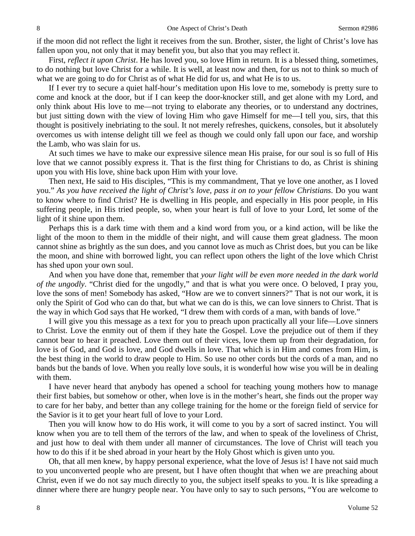if the moon did not reflect the light it receives from the sun. Brother, sister, the light of Christ's love has fallen upon you, not only that it may benefit you, but also that you may reflect it.

First, *reflect it upon Christ*. He has loved you, so love Him in return. It is a blessed thing, sometimes, to do nothing but love Christ for a while. It is well, at least now and then, for us not to think so much of what we are going to do for Christ as of what He did for us, and what He is to us.

If I ever try to secure a quiet half-hour's meditation upon His love to me, somebody is pretty sure to come and knock at the door, but if I can keep the door-knocker still, and get alone with my Lord, and only think about His love to me—not trying to elaborate any theories, or to understand any doctrines, but just sitting down with the view of loving Him who gave Himself for me—I tell you, sirs, that this thought is positively inebriating to the soul. It not merely refreshes, quickens, consoles, but it absolutely overcomes us with intense delight till we feel as though we could only fall upon our face, and worship the Lamb, who was slain for us.

At such times we have to make our expressive silence mean His praise, for our soul is so full of His love that we cannot possibly express it. That is the first thing for Christians to do, as Christ is shining upon you with His love, shine back upon Him with your love.

Then next, He said to His disciples, "This is my commandment, That ye love one another, as I loved you." *As you have received the light of Christ's love, pass it on to your fellow Christians*. Do you want to know where to find Christ? He is dwelling in His people, and especially in His poor people, in His suffering people, in His tried people, so, when your heart is full of love to your Lord, let some of the light of it shine upon them.

Perhaps this is a dark time with them and a kind word from you, or a kind action, will be like the light of the moon to them in the middle of their night, and will cause them great gladness. The moon cannot shine as brightly as the sun does, and you cannot love as much as Christ does, but you can be like the moon, and shine with borrowed light, you can reflect upon others the light of the love which Christ has shed upon your own soul.

And when you have done that, remember that *your light will be even more needed in the dark world of the ungodly*. "Christ died for the ungodly," and that is what you were once. O beloved, I pray you, love the sons of men! Somebody has asked, "How are we to convert sinners?" That is not our work, it is only the Spirit of God who can do that, but what we can do is this, we can love sinners to Christ. That is the way in which God says that He worked, "I drew them with cords of a man, with bands of love."

I will give you this message as a text for you to preach upon practically all your life—Love sinners to Christ. Love the enmity out of them if they hate the Gospel. Love the prejudice out of them if they cannot bear to hear it preached. Love them out of their vices, love them up from their degradation, for love is of God, and God is love, and God dwells in love. That which is in Him and comes from Him, is the best thing in the world to draw people to Him. So use no other cords but the cords of a man, and no bands but the bands of love. When you really love souls, it is wonderful how wise you will be in dealing with them.

I have never heard that anybody has opened a school for teaching young mothers how to manage their first babies, but somehow or other, when love is in the mother's heart, she finds out the proper way to care for her baby, and better than any college training for the home or the foreign field of service for the Savior is it to get your heart full of love to your Lord.

Then you will know how to do His work, it will come to you by a sort of sacred instinct. You will know when you are to tell them of the terrors of the law, and when to speak of the loveliness of Christ, and just how to deal with them under all manner of circumstances. The love of Christ will teach you how to do this if it be shed abroad in your heart by the Holy Ghost which is given unto you.

Oh, that all men knew, by happy personal experience, what the love of Jesus is! I have not said much to you unconverted people who are present, but I have often thought that when we are preaching about Christ, even if we do not say much directly to you, the subject itself speaks to you. It is like spreading a dinner where there are hungry people near. You have only to say to such persons, "You are welcome to